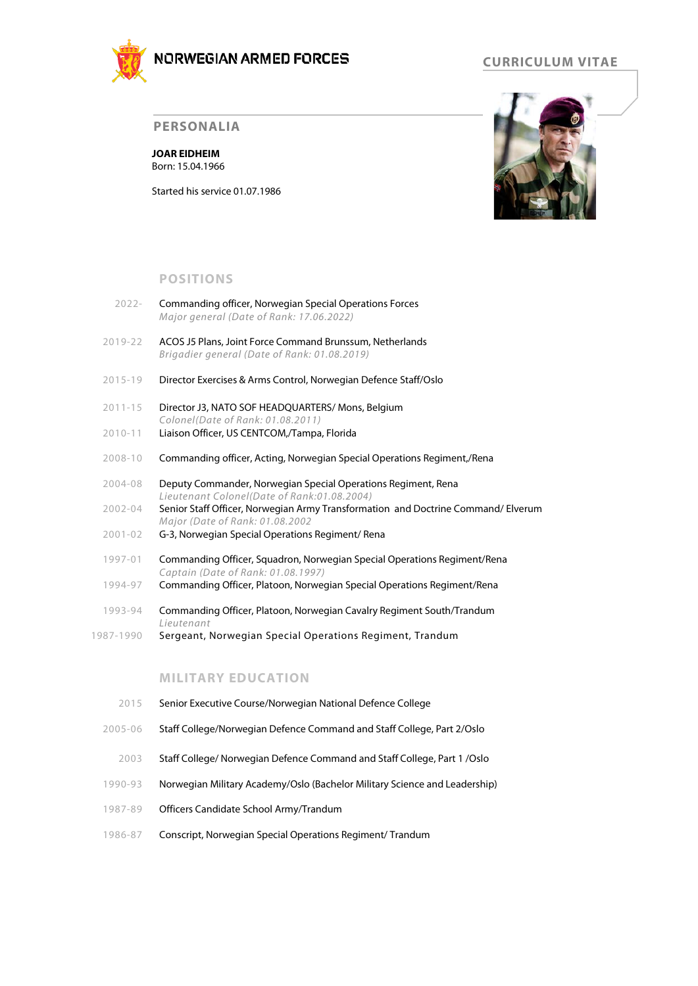

# **CURRICULUM VITAE**

#### **PERSONALIA**

**JOAR EIDHEIM** Born: 15.04.1966

Started his service 01.07.1986



## **POSITIONS**

- 2022- Commanding officer, Norwegian Special Operations Forces *Major general (Date of Rank: 17.06.2022)*
- 2019-22 ACOS J5 Plans, Joint Force Command Brunssum, Netherlands *Brigadier general (Date of Rank: 01.08.2019)*
- 2015-19 Director Exercises & Arms Control, Norwegian Defence Staff/Oslo
- 2011-15 Director J3, NATO SOF HEADQUARTERS/ Mons, Belgium *Colonel(Date of Rank: 01.08.2011)*
- 2010-11 Liaison Officer, US CENTCOM,/Tampa, Florida
- 2008-10 Commanding officer, Acting, Norwegian Special Operations Regiment,/Rena
- 2004-08 Deputy Commander, Norwegian Special Operations Regiment, Rena *Lieutenant Colonel(Date of Rank:01.08.2004)*
- 2002-04 Senior Staff Officer, Norwegian Army Transformation and Doctrine Command/ Elverum *Major (Date of Rank: 01.08.2002*
- 2001-02 G-3, Norwegian Special Operations Regiment/ Rena
- 1997-01 Commanding Officer, Squadron, Norwegian Special Operations Regiment/Rena *Captain (Date of Rank: 01.08.1997)*
- 1994-97 Commanding Officer, Platoon, Norwegian Special Operations Regiment/Rena
- 1993-94 Commanding Officer, Platoon, Norwegian Cavalry Regiment South/Trandum *Lieutenant*
- 1987-1990 Sergeant, Norwegian Special Operations Regiment, Trandum

## **MILITARY EDUCATION**

- 2015 Senior Executive Course/Norwegian National Defence College
- 2005-06 Staff College/Norwegian Defence Command and Staff College, Part 2/Oslo
- 2003 Staff College/ Norwegian Defence Command and Staff College, Part 1 /Oslo
- 1990-93 Norwegian Military Academy/Oslo (Bachelor Military Science and Leadership)
- 1987-89 Officers Candidate School Army/Trandum
- 1986-87 Conscript, Norwegian Special Operations Regiment/ Trandum